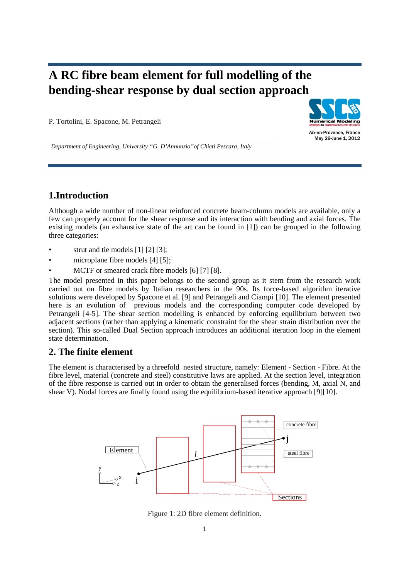# **A RC fibre beam element for full modelling of the bending-shear response by dual section approach**

P. Tortolini, E. Spacone, M. Petrangeli



Aix-en-Provence, France May 29-June 1, 2012

*Department of Engineering, University "G. D'Annunzio"of Chieti Pescara, Italy*

## **1.Introduction**

Although a wide number of non-linear reinforced concrete beam-column models are available, only a few can properly account for the shear response and its interaction with bending and axial forces. The existing models (an exhaustive state of the art can be found in [1]) can be grouped in the following three categories:

- strut and tie models [1] [2] [3];
- microplane fibre models [4] [5];
- MCTF or smeared crack fibre models [6] [7] [8].

The model presented in this paper belongs to the second group as it stem from the research work carried out on fibre models by Italian researchers in the 90s. Its force-based algorithm iterative solutions were developed by Spacone et al. [9] and Petrangeli and Ciampi [10]. The element presented here is an evolution of previous models and the corresponding computer code developed by Petrangeli [4-5]. The shear section modelling is enhanced by enforcing equilibrium between two adjacent sections (rather than applying a kinematic constraint for the shear strain distribution over the section). This so-called Dual Section approach introduces an additional iteration loop in the element state determination.

## **2. The finite element**

The element is characterised by a threefold nested structure, namely: Element - Section - Fibre. At the fibre level, material (concrete and steel) constitutive laws are applied. At the section level, integration of the fibre response is carried out in order to obtain the generalised forces (bending, M, axial N, and shear V). Nodal forces are finally found using the equilibrium-based iterative approach [9][10].



Figure 1: 2D fibre element definition.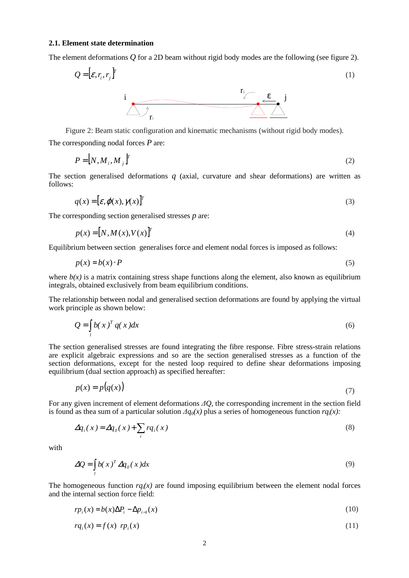#### **2.1. Element state determination**

The element deformations *Q* for a 2D beam without rigid body modes are the following (see figure 2).

$$
Q = [\varepsilon, r_i, r_j]^T
$$

Figure 2: Beam static configuration and kinematic mechanisms (without rigid body modes).

The corresponding nodal forces *P* are:

$$
P = [N, M_i, M_j]^T
$$
 (2)

The section generalised deformations *q* (axial, curvature and shear deformations) are written as follows:

$$
q(x) = [\mathcal{E}, \varphi(x), \gamma(x)]^T
$$
 (3)

The corresponding section generalised stresses *p* are:

$$
p(x) = [N, M(x), V(x)]^T
$$
\n(4)

Equilibrium between section generalises force and element nodal forces is imposed as follows:

$$
p(x) = b(x) \cdot P \tag{5}
$$

where  $b(x)$  is a matrix containing stress shape functions along the element, also known as equilibrium integrals, obtained exclusively from beam equilibrium conditions.

The relationship between nodal and generalised section deformations are found by applying the virtual work principle as shown below:

$$
Q = \int_{l} b(x)^{T} q(x) dx
$$
\n(6)

The section generalised stresses are found integrating the fibre response. Fibre stress-strain relations are explicit algebraic expressions and so are the section generalised stresses as a function of the section deformations, except for the nested loop required to define shear deformations imposing equilibrium (dual section approach) as specified hereafter:

$$
p(x) = p(q(x))\tag{7}
$$

For any given increment of element deformations *∆Q*, the corresponding increment in the section field is found as thea sum of a particular solution *∆q0(x)* plus a series of homogeneous function *rq*i*(x):* 

$$
\Delta q_i(x) = \Delta q_0(x) + \sum_i r q_i(x)
$$
\n(8)

with

$$
\Delta Q = \int_{l} b(x)^{T} \Delta q_{0}(x) dx
$$
\n(9)

The homogeneous function  $ra(x)$  are found imposing equilibrium between the element nodal forces and the internal section force field:

$$
r p_i(x) = b(x) \Delta P_i - \Delta p_{i-1}(x) \tag{10}
$$

$$
rq_i(x) = f(x) \hspace{0.2cm} rp_i(x) \hspace{1cm} (11)
$$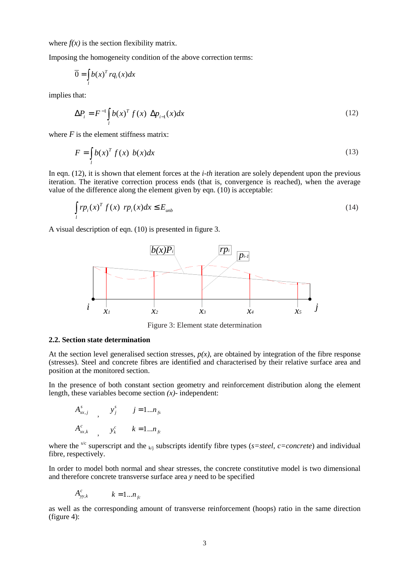where  $f(x)$  is the section flexibility matrix.

Imposing the homogeneity condition of the above correction terms:

$$
\overline{0} = \int_{l} b(x)^{T} r q_{i}(x) dx
$$

implies that:

$$
\Delta P_i = F^{-1} \int_l b(x)^T f(x) \, \Delta p_{i-1}(x) dx \tag{12}
$$

where  $F$  is the element stiffness matrix:

$$
F = \int_{l} b(x)^{T} f(x) b(x) dx
$$
\n(13)

In eqn. (12), it is shown that element forces at the *i-th* iteration are solely dependent upon the previous iteration. The iterative correction process ends (that is, convergence is reached), when the average value of the difference along the element given by eqn. (10) is acceptable:

$$
\int_{l} r p_i(x)^T f(x) r p_i(x) dx \le E_{\text{umb}}
$$
\n(14)

A visual description of eqn. (10) is presented in figure 3.



Figure 3: Element state determination

#### **2.2. Section state determination**

At the section level generalised section stresses,  $p(x)$ , are obtained by integration of the fibre response (stresses). Steel and concrete fibres are identified and characterised by their relative surface area and position at the monitored section.

In the presence of both constant section geometry and reinforcement distribution along the element length, these variables become section *(x)-* independent:

$$
A_{xx,j}^s \qquad , \qquad y_j^s \qquad j = 1...n_{fs}
$$
  

$$
A_{xx,k}^c \qquad , \qquad y_k^c \qquad k = 1...n_{fc}
$$

where the <sup>s/c</sup> superscript and the  $k/i$  subscripts identify fibre types ( $s$ =steel,  $c$ =concrete) and individual fibre, respectively.

In order to model both normal and shear stresses, the concrete constitutive model is two dimensional and therefore concrete transverse surface area *y* need to be specified

$$
A_{yy,k}^c \qquad k = 1...n_{fc}
$$

as well as the corresponding amount of transverse reinforcement (hoops) ratio in the same direction (figure 4):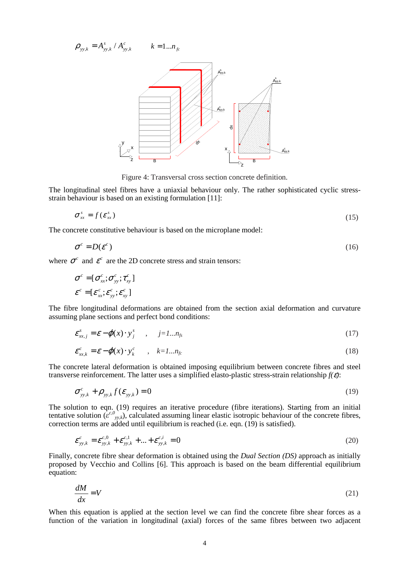*c kyy*  $\rho_{yy,k} = A_{yy,k}^{s} / A_{yy,k}^{c}$   $k = 1...n_{fc}$ 



Figure 4: Transversal cross section concrete definition.

The longitudinal steel fibres have a uniaxial behaviour only. The rather sophisticated cyclic stressstrain behaviour is based on an existing formulation [11]:

$$
\sigma_{xx}^s = f(\varepsilon_{xx}^s)
$$
 (15)

The concrete constitutive behaviour is based on the microplane model:

$$
\sigma^c = D(\varepsilon^c) \tag{16}
$$

where  $\sigma^c$  and  $\varepsilon^c$  are the 2D concrete stress and strain tensors:

$$
\boldsymbol{\sigma}^c = [\boldsymbol{\sigma}_{xx}^c; \boldsymbol{\sigma}_{yy}^c; \boldsymbol{\tau}_{xy}^c]
$$
  

$$
\boldsymbol{\varepsilon}^c = [\boldsymbol{\varepsilon}_{xx}^c; \boldsymbol{\varepsilon}_{yy}^c; \boldsymbol{\varepsilon}_{xy}^c]
$$

The fibre longitudinal deformations are obtained from the section axial deformation and curvature assuming plane sections and perfect bond conditions:

$$
\varepsilon_{xx,j}^s = \varepsilon - \varphi(x) \cdot y_j^s \qquad , \qquad j = 1...n_{fs} \tag{17}
$$

$$
\varepsilon_{xx,k}^c = \varepsilon - \varphi(x) \cdot y_k^c \qquad , \quad k = 1...n_{fc} \tag{18}
$$

The concrete lateral deformation is obtained imposing equilibrium between concrete fibres and steel transverse reinforcement. The latter uses a simplified elasto-plastic stress-strain relationship *f(*ε*)*:

$$
\sigma_{yy,k}^c + \rho_{yy,k} f(\varepsilon_{yy,k}) = 0
$$
\n(19)

The solution to eqn. (19) requires an iterative procedure (fibre iterations). Starting from an initial tentative solution  $(\varepsilon^{c,0}_{y,k})$ , calculated assuming linear elastic isotropic behaviour of the concrete fibres, correction terms are added until equilibrium is reached (i.e. eqn. (19) is satisfied).

$$
\varepsilon_{yy,k}^{c} = \varepsilon_{yy,k}^{c,0} + \varepsilon_{yy,k}^{c,1} + \dots + \varepsilon_{yy,k}^{c,i} = 0
$$
\n(20)

Finally, concrete fibre shear deformation is obtained using the *Dual Section (DS)* approach as initially proposed by Vecchio and Collins [6]. This approach is based on the beam differential equilibrium equation:

$$
\frac{dM}{dx} = V\tag{21}
$$

When this equation is applied at the section level we can find the concrete fibre shear forces as a function of the variation in longitudinal (axial) forces of the same fibres between two adjacent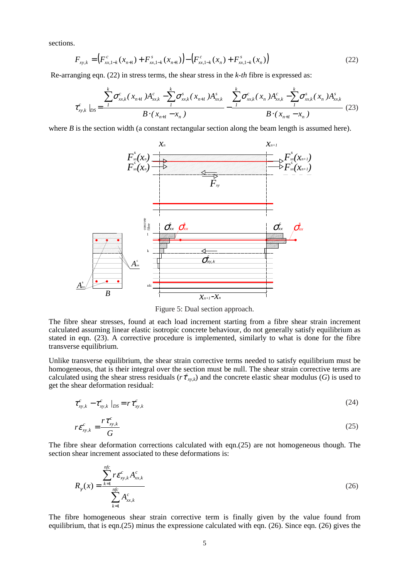sections.

$$
F_{xy,k} = (F_{xx,1-k}^c(x_{n+1}) + F_{xx,1-k}^s(x_{n+1})) - (F_{xx,1-k}^c(x_n) + F_{xx,1-k}^s(x_n))
$$
\n(22)

Re-arranging eqn. (22) in stress terms, the shear stress in the *k-th* fibre is expressed as:

$$
\tau_{x,y,k}^c|_{DS} = \frac{\sum_{i=1}^{k} \sigma_{xx,k}^c(x_{n+1}) A_{xx,k}^c - \sum_{i=1}^{k} \sigma_{xx,k}^s(x_{n+1}) A_{xx,k}^s}{B \cdot (x_{n+1} - x_n)} - \frac{\sum_{i=1}^{k} \sigma_{xx,k}^c(x_n) A_{xx,k}^c - \sum_{i=1}^{k} \sigma_{xx,k}^s(x_n) A_{xx,k}^s}{B \cdot (x_{n+1} - x_n)} \tag{23}
$$

where  $B$  is the section width (a constant rectangular section along the beam length is assumed here).



Figure 5: Dual section approach.

The fibre shear stresses, found at each load increment starting from a fibre shear strain increment calculated assuming linear elastic isotropic concrete behaviour, do not generally satisfy equilibrium as stated in eqn. (23). A corrective procedure is implemented, similarly to what is done for the fibre transverse equilibrium.

Unlike transverse equilibrium, the shear strain corrective terms needed to satisfy equilibrium must be homogeneous, that is their integral over the section must be null. The shear strain corrective terms are calculated using the shear stress residuals ( $r t_{xy,k}$ ) and the concrete elastic shear modulus (*G*) is used to get the shear deformation residual:

$$
\tau_{xy,k}^c - \tau_{xy,k}^c \mid_{DS} = r \tau_{xy,k}^c \tag{24}
$$

$$
r\varepsilon_{xy,k}^c = \frac{r\tau_{xy,k}^c}{G}
$$
 (25)

The fibre shear deformation corrections calculated with eqn.(25) are not homogeneous though. The section shear increment associated to these deformations is:

$$
R_{\gamma}(x) = \frac{\sum_{k=1}^{nfc} r \mathcal{E}_{xy,k}^c A_{xx,k}^c}{\sum_{k=1}^{nfc} A_{xx,k}^c}
$$
 (26)

The fibre homogeneous shear strain corrective term is finally given by the value found from equilibrium, that is eqn.(25) minus the expressione calculated with eqn. (26). Since eqn. (26) gives the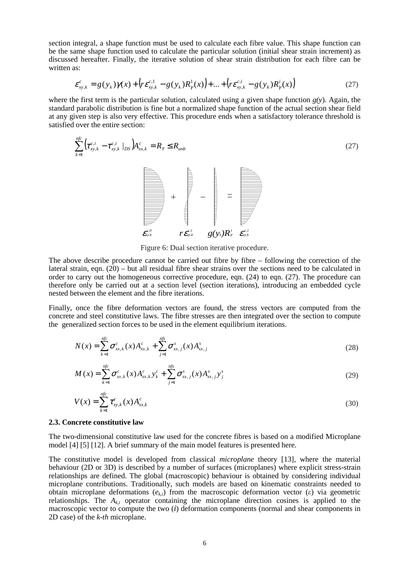section integral, a shape function must be used to calculate each fibre value. This shape function can be the same shape function used to calculate the particular solution (initial shear strain increment) as discussed hereafter. Finally, the iterative solution of shear strain distribution for each fibre can be written as:

$$
\varepsilon_{xy,k}^{c} = g(y_{k})\gamma(x) + \left(r\varepsilon_{xy,k}^{c,1} - g(y_{k})R_{\gamma}^{1}(x)\right) + ... + \left(r\varepsilon_{xy,k}^{c,i} - g(y_{k})R_{\gamma}^{i}(x)\right)
$$
(27)

where the first term is the particular solution, calculated using a given shape function  $g(y)$ . Again, the standard parabolic distribution is fine but a normalized shape function of the actual section shear field at any given step is also very effective. This procedure ends when a satisfactory tolerance threshold is satisfied over the entire section:

$$
\sum_{k=1}^{nfc} \left( \tau_{xy,k}^{c,i} - \tau_{xy,k}^{c,i} \mid_{DS} \right) A_{xx,k}^c = R_{\tau} \le R_{unb}
$$
 (27)



Figure 6: Dual section iterative procedure.

The above describe procedure cannot be carried out fibre by fibre – following the correction of the lateral strain, eqn.  $(20)$  – but all residual fibre shear strains over the sections need to be calculated in order to carry out the homogeneous corrective procedure, eqn. (24) to eqn. (27). The procedure can therefore only be carried out at a section level (section iterations), introducing an embedded cycle nested between the element and the fibre iterations.

Finally, once the fibre deformation vectors are found, the stress vectors are computed from the concrete and steel constitutive laws. The fibre stresses are then integrated over the section to compute the generalized section forces to be used in the element equilibrium iterations.

$$
N(x) = \sum_{k=1}^{nfc} \sigma_{xx,k}^{c}(x) A_{xx,k}^{c} + \sum_{j=1}^{nfs} \sigma_{xx,j}^{s}(x) A_{xx,j}^{s}
$$
 (28)

$$
M(x) = \sum_{k=1}^{nfc} \sigma_{xx,k}^c(x) A_{xx,k}^c y_k^c + \sum_{j=1}^{nfs} \sigma_{xx,j}^s(x) A_{xx,j}^s y_j^s
$$
 (29)

$$
V(x) = \sum_{k=1}^{nfc} \tau_{xy,k}^c(x) A_{xx,k}^c
$$
 (30)

#### **2.3. Concrete constitutive law**

The two-dimensional constitutive law used for the concrete fibres is based on a modified Microplane model [4] [5] [12]. A brief summary of the main model features is presented here.

The constitutive model is developed from classical *microplane* theory [13], where the material behaviour (2D or 3D) is described by a number of surfaces (microplanes) where explicit stress-strain relationships are defined. The global (macroscopic) behaviour is obtained by considering individual microplane contributions. Traditionally, such models are based on kinematic constraints needed to obtain microplane deformations  $(e_k)$  from the macroscopic deformation vector  $(\varepsilon)$  via geometric relationships. The  $A_k$  operator containing the microplane direction cosines is applied to the macroscopic vector to compute the two (*i*) deformation components (normal and shear components in 2D case) of the *k-th* microplane.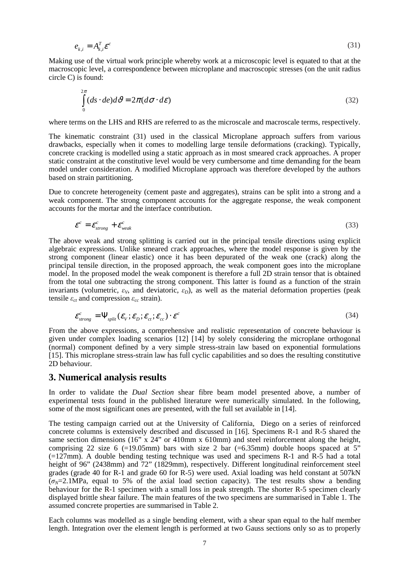$$
e_{k,i} = A_{k,i}^T \mathcal{E}^c \tag{31}
$$

Making use of the virtual work principle whereby work at a microscopic level is equated to that at the macroscopic level, a correspondence between microplane and macroscopic stresses (on the unit radius circle C) is found:

$$
\int_{0}^{2\pi} (ds \cdot de) d\theta = 2\pi (d\sigma \cdot d\varepsilon)
$$
\n(32)

where terms on the LHS and RHS are referred to as the microscale and macroscale terms, respectively.

The kinematic constraint (31) used in the classical Microplane approach suffers from various drawbacks, especially when it comes to modelling large tensile deformations (cracking). Typically, concrete cracking is modelled using a static approach as in most smeared crack approaches. A proper static constraint at the constitutive level would be very cumbersome and time demanding for the beam model under consideration. A modified Microplane approach was therefore developed by the authors based on strain partitioning.

Due to concrete heterogeneity (cement paste and aggregates), strains can be split into a strong and a weak component. The strong component accounts for the aggregate response, the weak component accounts for the mortar and the interface contribution.

$$
\mathcal{E}^c = \mathcal{E}^c_{strong} + \mathcal{E}^c_{weak} \tag{33}
$$

The above weak and strong splitting is carried out in the principal tensile directions using explicit algebraic expressions. Unlike smeared crack approaches, where the model response is given by the strong component (linear elastic) once it has been depurated of the weak one (crack) along the principal tensile direction, in the proposed approach, the weak component goes into the microplane model. In the proposed model the weak component is therefore a full 2D strain tensor that is obtained from the total one subtracting the strong component. This latter is found as a function of the strain invariants (volumetric,  $\varepsilon_V$ , and deviatoric,  $\varepsilon_D$ ), as well as the material deformation properties (peak tensile  $\varepsilon_{ct}$  and compression  $\varepsilon_{cc}$  strain).

$$
\varepsilon_{strong}^c = \Psi_{split}(\varepsilon_v; \varepsilon_b; \varepsilon_{ct}; \varepsilon_{cc}) \cdot \varepsilon^c
$$
\n(34)

From the above expressions, a comprehensive and realistic representation of concrete behaviour is given under complex loading scenarios [12] [14] by solely considering the microplane orthogonal (normal) component defined by a very simple stress-strain law based on exponential formulations [15]. This microplane stress-strain law has full cyclic capabilities and so does the resulting constitutive 2D behaviour.

### **3. Numerical analysis results**

In order to validate the *Dual Section* shear fibre beam model presented above, a number of experimental tests found in the published literature were numerically simulated. In the following, some of the most significant ones are presented, with the full set available in [14].

The testing campaign carried out at the University of California, Diego on a series of reinforced concrete columns is extensively described and discussed in [16]. Specimens R-1 and R-5 shared the same section dimensions (16" x 24" or 410mm x 610mm) and steel reinforcement along the height, comprising 22 size 6 (=19.05mm) bars with size 2 bar (=6.35mm) double hoops spaced at 5"  $(=127 \text{mm})$ . A double bending testing technique was used and specimens R-1 and R-5 had a total height of 96" (2438mm) and 72" (1829mm), respectively. Different longitudinal reinforcement steel grades (grade 40 for R-1 and grade 60 for R-5) were used. Axial loading was held constant at 507kN  $(\sigma_N=2.1 \text{MPa})$ , equal to 5% of the axial load section capacity). The test results show a bending behaviour for the R-1 specimen with a small loss in peak strength. The shorter R-5 specimen clearly displayed brittle shear failure. The main features of the two specimens are summarised in Table 1. The assumed concrete properties are summarised in Table 2.

Each columns was modelled as a single bending element, with a shear span equal to the half member length. Integration over the element length is performed at two Gauss sections only so as to properly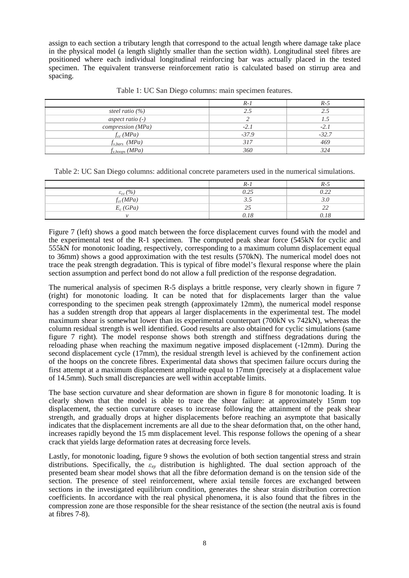assign to each section a tributary length that correspond to the actual length where damage take place in the physical model (a length slightly smaller than the section width). Longitudinal steel fibres are positioned where each individual longitudinal reinforcing bar was actually placed in the tested specimen. The equivalent transverse reinforcement ratio is calculated based on stirrup area and spacing.

|                     | $R-1$   | R-5     |
|---------------------|---------|---------|
| steel ratio $(\% )$ |         |         |
| aspect ratio $(-)$  |         |         |
| compression (MPa)   | $-2.1$  | $-2.1$  |
| $f_{cc}$ (MPa)      | $-37.9$ | $-32.7$ |
| $f_{v.bars}$ (MPa)  | 317     | 469     |
| $f_{y,hoops}(MPa)$  | 360     | 324     |

Table 1: UC San Diego columns: main specimen features.

Table 2: UC San Diego columns: additional concrete parameters used in the numerical simulations.

|                                | $R-1$          | $R-5$               |
|--------------------------------|----------------|---------------------|
| $\varepsilon_{cc}$ (%)         | $\cap$<br>U.ZJ | በ ንን<br><i></i>     |
|                                | ن د ک          |                     |
| $\frac{f_{ct}(MPa)}{E_c(GPa)}$ | つら<br>ت ک      | $\mathcal{D}$<br>-- |
|                                | 0.18           | 0.18                |

Figure 7 (left) shows a good match between the force displacement curves found with the model and the experimental test of the R-1 specimen. The computed peak shear force (545kN for cyclic and 555kN for monotonic loading, respectively, corresponding to a maximum column displacement equal to 36mm) shows a good approximation with the test results (570kN). The numerical model does not trace the peak strength degradation. This is typical of fibre model's flexural response where the plain section assumption and perfect bond do not allow a full prediction of the response degradation.

The numerical analysis of specimen R-5 displays a brittle response, very clearly shown in figure 7 (right) for monotonic loading. It can be noted that for displacements larger than the value corresponding to the specimen peak strength (approximately 12mm), the numerical model response has a sudden strength drop that appears al larger displacements in the experimental test. The model maximum shear is somewhat lower than its experimental counterpart (700kN vs 742kN), whereas the column residual strength is well identified. Good results are also obtained for cyclic simulations (same figure 7 right). The model response shows both strength and stiffness degradations during the reloading phase when reaching the maximum negative imposed displacement (-12mm). During the second displacement cycle (17mm), the residual strength level is achieved by the confinement action of the hoops on the concrete fibres. Experimental data shows that specimen failure occurs during the first attempt at a maximum displacement amplitude equal to 17mm (precisely at a displacement value of 14.5mm). Such small discrepancies are well within acceptable limits.

The base section curvature and shear deformation are shown in figure 8 for monotonic loading. It is clearly shown that the model is able to trace the shear failure: at approximately 15mm top displacement, the section curvature ceases to increase following the attainment of the peak shear strength, and gradually drops at higher displacements before reaching an asymptote that basically indicates that the displacement increments are all due to the shear deformation that, on the other hand, increases rapidly beyond the 15 mm displacement level. This response follows the opening of a shear crack that yields large deformation rates at decreasing force levels.

Lastly, for monotonic loading, figure 9 shows the evolution of both section tangential stress and strain distributions. Specifically, the *εxy* distribution is highlighted. The dual section approach of the presented beam shear model shows that all the fibre deformation demand is on the tension side of the section. The presence of steel reinforcement, where axial tensile forces are exchanged between sections in the investigated equilibrium condition, generates the shear strain distribution correction coefficients. In accordance with the real physical phenomena, it is also found that the fibres in the compression zone are those responsible for the shear resistance of the section (the neutral axis is found at fibres 7-8).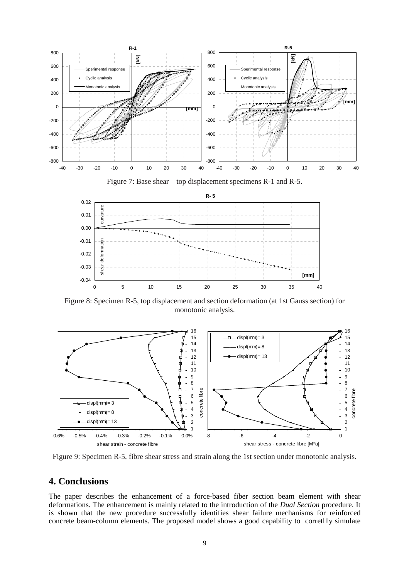



Figure 8: Specimen R-5, top displacement and section deformation (at 1st Gauss section) for monotonic analysis.



Figure 9: Specimen R-5, fibre shear stress and strain along the 1st section under monotonic analysis.

## **4. Conclusions**

The paper describes the enhancement of a force-based fiber section beam element with shear deformations. The enhancement is mainly related to the introduction of the *Dual Section* procedure. It is shown that the new procedure successfully identifies shear failure mechanisms for reinforced concrete beam-column elements. The proposed model shows a good capability to corretlly simulate